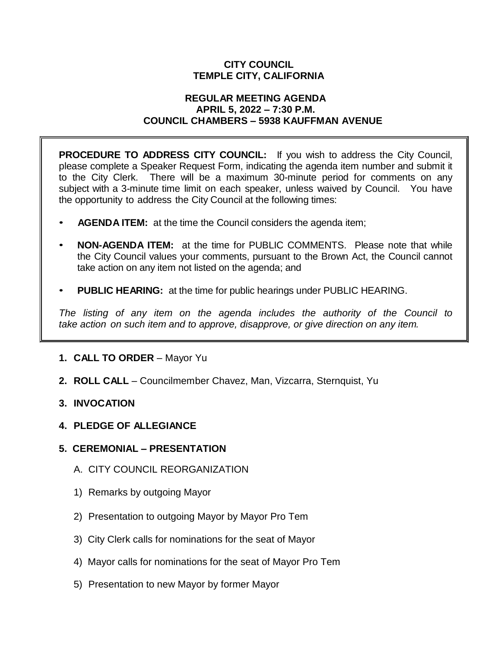# **CITY COUNCIL TEMPLE CITY, CALIFORNIA**

#### **REGULAR MEETING AGENDA APRIL 5, 2022 – 7:30 P.M. COUNCIL CHAMBERS – 5938 KAUFFMAN AVENUE**

**PROCEDURE TO ADDRESS CITY COUNCIL:** If you wish to address the City Council, please complete a Speaker Request Form, indicating the agenda item number and submit it to the City Clerk. There will be a maximum 30-minute period for comments on any subject with a 3-minute time limit on each speaker, unless waived by Council. You have the opportunity to address the City Council at the following times:

- **AGENDA ITEM:** at the time the Council considers the agenda item;
- **NON-AGENDA ITEM:** at the time for PUBLIC COMMENTS. Please note that while the City Council values your comments, pursuant to the Brown Act, the Council cannot take action on any item not listed on the agenda; and
- **PUBLIC HEARING:** at the time for public hearings under PUBLIC HEARING.

*The listing of any item on the agenda includes the authority of the Council to take action on such item and to approve, disapprove, or give direction on any item.*

- **1. CALL TO ORDER**  Mayor Yu
- **2. ROLL CALL**  Councilmember Chavez, Man, Vizcarra, Sternquist, Yu
- **3. INVOCATION**
- **4. PLEDGE OF ALLEGIANCE**
- **5. CEREMONIAL – PRESENTATION**
	- A. CITY COUNCIL REORGANIZATION
	- 1) Remarks by outgoing Mayor
	- 2) Presentation to outgoing Mayor by Mayor Pro Tem
	- 3) City Clerk calls for nominations for the seat of Mayor
	- 4) Mayor calls for nominations for the seat of Mayor Pro Tem
	- 5) Presentation to new Mayor by former Mayor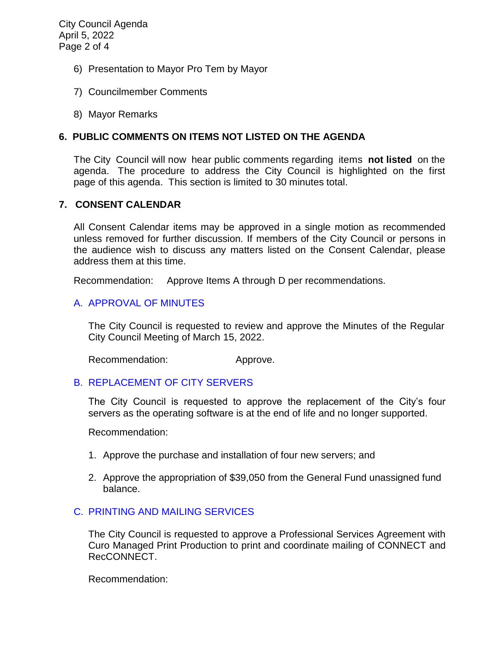City Council Agenda April 5, 2022 Page 2 of 4

- 6) Presentation to Mayor Pro Tem by Mayor
- 7) Councilmember Comments
- 8) Mayor Remarks

## **6. PUBLIC COMMENTS ON ITEMS NOT LISTED ON THE AGENDA**

The City Council will now hear public comments regarding items **not listed** on the agenda. The procedure to address the City Council is highlighted on the first page of this agenda. This section is limited to 30 minutes total.

#### **7. CONSENT CALENDAR**

All Consent Calendar items may be approved in a single motion as recommended unless removed for further discussion. If members of the City Council or persons in the audience wish to discuss any matters listed on the Consent Calendar, please address them at this time.

Recommendation: Approve Items A through D per recommendations.

## [A. APPROVAL OF MINUTES](https://www.ci.temple-city.ca.us/DocumentCenter/View/17638/7A_CCM---2022-03-15)

The City Council is requested to review and approve the Minutes of the Regular City Council Meeting of March 15, 2022.

Recommendation: Approve.

## B. [REPLACEMENT OF CITY SERVERS](https://www.ci.temple-city.ca.us/DocumentCenter/View/17639/7B_Replacement-of-Servers_Staff-Report-w-attachment)

The City Council is requested to approve the replacement of the City's four servers as the operating software is at the end of life and no longer supported.

Recommendation:

- 1. Approve the purchase and installation of four new servers; and
- 2. Approve the appropriation of \$39,050 from the General Fund unassigned fund balance.

## C. [PRINTING AND MAILING SERVICES](https://www.ci.temple-city.ca.us/DocumentCenter/View/17640/7C_Print-Services-Agreement-Staff-Report_v2)

The City Council is requested to approve a Professional Services Agreement with Curo Managed Print Production to print and coordinate mailing of CONNECT and RecCONNECT.

Recommendation: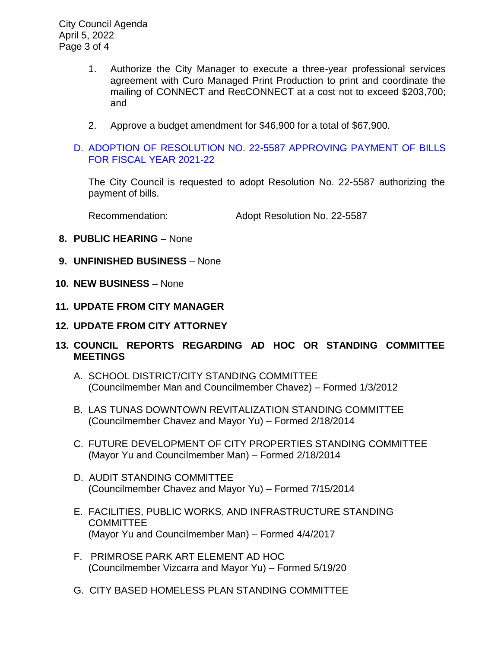City Council Agenda April 5, 2022 Page 3 of 4

- 1. Authorize the City Manager to execute a three-year professional services agreement with Curo Managed Print Production to print and coordinate the mailing of CONNECT and RecCONNECT at a cost not to exceed \$203,700; and
- 2. Approve a budget amendment for \$46,900 for a total of \$67,900.

# D. [ADOPTION OF RESOLUTION NO. 22-5587](https://www.ci.temple-city.ca.us/DocumentCenter/View/17641/7D_Warrant-Register-40522-FY2122) APPROVING PAYMENT OF BILLS [FOR FISCAL YEAR 2021-22](https://www.ci.temple-city.ca.us/DocumentCenter/View/17641/7D_Warrant-Register-40522-FY2122)

The City Council is requested to adopt Resolution No. 22-5587 authorizing the payment of bills.

Recommendation: Adopt Resolution No. 22-5587

- **8. PUBLIC HEARING** None
- **9. UNFINISHED BUSINESS** None
- **10. NEW BUSINESS**  None
- **11. UPDATE FROM CITY MANAGER**
- **12. UPDATE FROM CITY ATTORNEY**
- **13. COUNCIL REPORTS REGARDING AD HOC OR STANDING COMMITTEE MEETINGS** 
	- A. SCHOOL DISTRICT/CITY STANDING COMMITTEE (Councilmember Man and Councilmember Chavez) – Formed 1/3/2012
	- B. LAS TUNAS DOWNTOWN REVITALIZATION STANDING COMMITTEE (Councilmember Chavez and Mayor Yu) – Formed 2/18/2014
	- C. FUTURE DEVELOPMENT OF CITY PROPERTIES STANDING COMMITTEE (Mayor Yu and Councilmember Man) – Formed 2/18/2014
	- D. AUDIT STANDING COMMITTEE (Councilmember Chavez and Mayor Yu) – Formed 7/15/2014
	- E. FACILITIES, PUBLIC WORKS, AND INFRASTRUCTURE STANDING **COMMITTEE** (Mayor Yu and Councilmember Man) – Formed 4/4/2017
	- F. PRIMROSE PARK ART ELEMENT AD HOC (Councilmember Vizcarra and Mayor Yu) – Formed 5/19/20
	- G. CITY BASED HOMELESS PLAN STANDING COMMITTEE